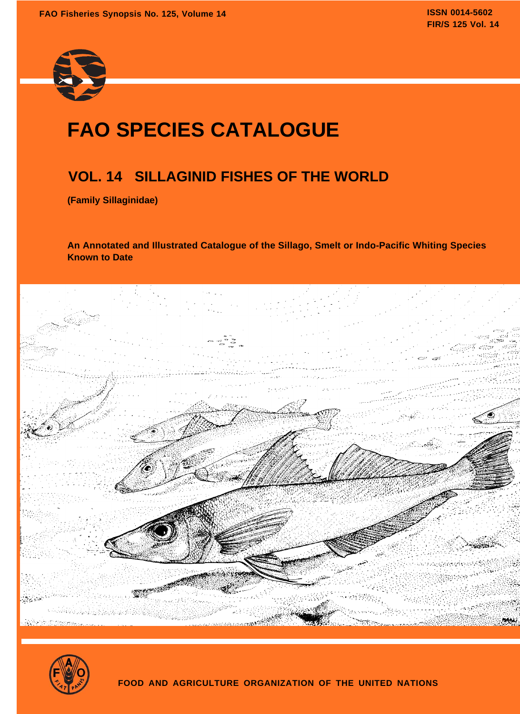

# **FAO SPECIES CATALOGUE**

## **VOL. 14 SILLAGINID FISHES OF THE WORLD**

**(Family Sillaginidae)**

**An Annotated and Illustrated Catalogue of the Sillago, Smelt or Indo-Pacific Whiting Species Known to Date**



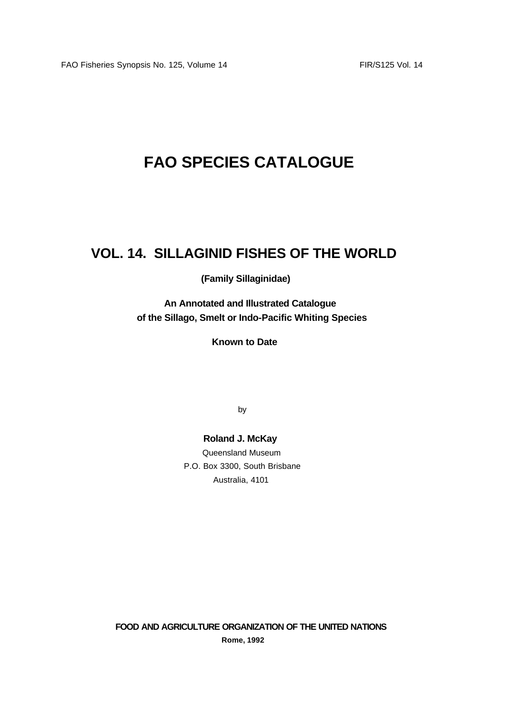# **FAO SPECIES CATALOGUE**

### **VOL. 14. SILLAGINID FISHES OF THE WORLD**

### **(Family Sillaginidae)**

**An Annotated and Illustrated Catalogue of the Sillago, Smelt or Indo-Pacific Whiting Species**

**Known to Date**

by

### **Roland J. McKay**

Queensland Museum P.O. Box 3300, South Brisbane Australia, 4101

**FOOD AND AGRICULTURE ORGANIZATION OF THE UNITED NATIONS Rome, 1992**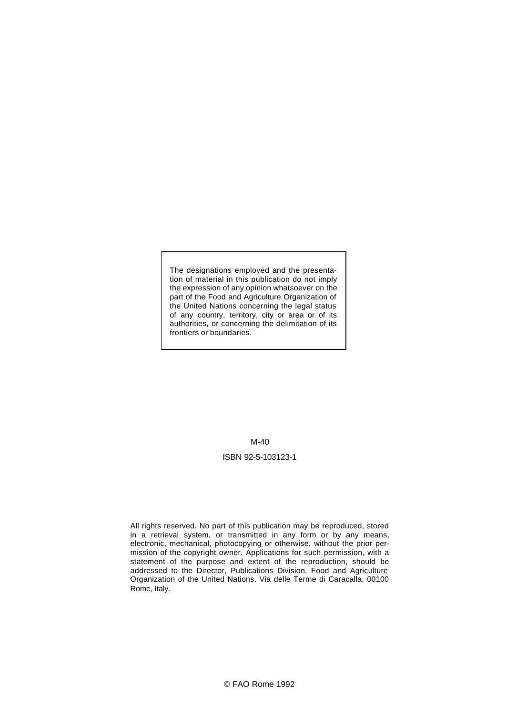The designations employed and the presentation of material in this publication do not imply the expression of any opinion whatsoever on the part of the Food and Agriculture Organization of the United Nations concerning the legal status of any country, territory, city or area or of its authorities, or concerning the delimitation of its frontiers or boundaries.

#### M-40

#### ISBN 92-5-103123-1

All rights reserved. No part of this publication may be reproduced, stored in a retrieval system, or transmitted in any form or by any means, electronic, mechanical, photocopying or otherwise, without the prior permission of the copyright owner. Applications for such permission, with a statement of the purpose and extent of the reproduction, should be addressed to the Director, Publications Division, Food and Agriculture Organization of the United Nations, Via delle Terme di Caracalla, 00100 Rome, Italy.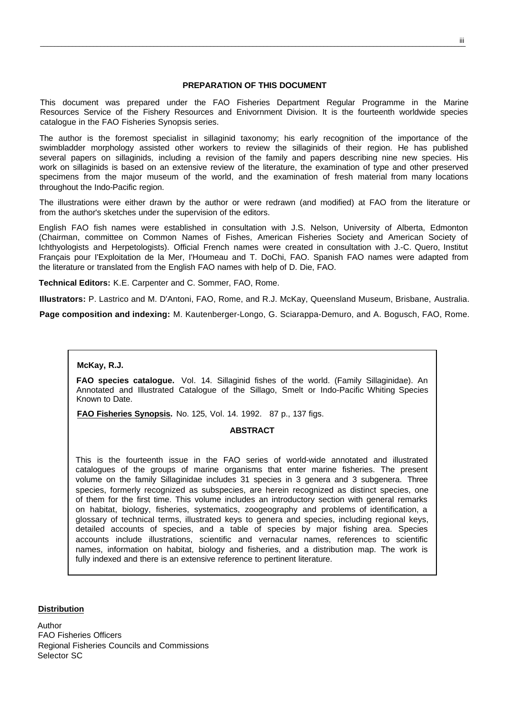#### **PREPARATION OF THIS DOCUMENT**

This document was prepared under the FAO Fisheries Department Regular Programme in the Marine Resources Service of the Fishery Resources and Enivornment Division. It is the fourteenth worldwide species catalogue in the FAO Fisheries Synopsis series.

The author is the foremost specialist in sillaginid taxonomy; his early recognition of the importance of the swimbladder morphology assisted other workers to review the sillaginids of their region. He has published several papers on sillaginids, including a revision of the family and papers describing nine new species. His work on sillaginids is based on an extensive review of the literature, the examination of type and other preserved specimens from the major museum of the world, and the examination of fresh material from many locations throughout the Indo-Pacific region.

The illustrations were either drawn by the author or were redrawn (and modified) at FAO from the literature or from the author's sketches under the supervision of the editors.

English FAO fish names were established in consultation with J.S. Nelson, University of Alberta, Edmonton (Chairman, committee on Common Names of Fishes, American Fisheries Society and American Society of Ichthyologists and Herpetologists). Official French names were created in consultation with J.-C. Quero, Institut Français pour I'Exploitation de la Mer, I'Houmeau and T. DoChi, FAO. Spanish FAO names were adapted from the literature or translated from the English FAO names with help of D. Die, FAO.

**Technical Editors:** K.E. Carpenter and C. Sommer, FAO, Rome.

**Illustrators:** P. Lastrico and M. D'Antoni, FAO, Rome, and R.J. McKay, Queensland Museum, Brisbane, Australia.

**Page composition and indexing:** M. Kautenberger-Longo, G. Sciarappa-Demuro, and A. Bogusch, FAO, Rome.

#### **McKay, R.J.**

**FAO species catalogue.** Vol. 14. Sillaginid fishes of the world. (Family Sillaginidae). An Annotated and Illustrated Catalogue of the Sillago, Smelt or Indo-Pacific Whiting Species Known to Date.

**FAO Fisheries Synopsis.** No. 125, Vol. 14. 1992. 87 p., 137 figs.

#### **ABSTRACT**

This is the fourteenth issue in the FAO series of world-wide annotated and illustrated catalogues of the groups of marine organisms that enter marine fisheries. The present volume on the family Sillaginidae includes 31 species in 3 genera and 3 subgenera. Three species, formerly recognized as subspecies, are herein recognized as distinct species, one of them for the first time. This volume includes an introductory section with general remarks on habitat, biology, fisheries, systematics, zoogeography and problems of identification, a glossary of technical terms, illustrated keys to genera and species, including regional keys, detailed accounts of species, and a table of species by major fishing area. Species accounts include illustrations, scientific and vernacular names, references to scientific names, information on habitat, biology and fisheries, and a distribution map. The work is fully indexed and there is an extensive reference to pertinent literature.

#### **Distribution**

Author FAO Fisheries Officers Regional Fisheries Councils and Commissions Selector SC